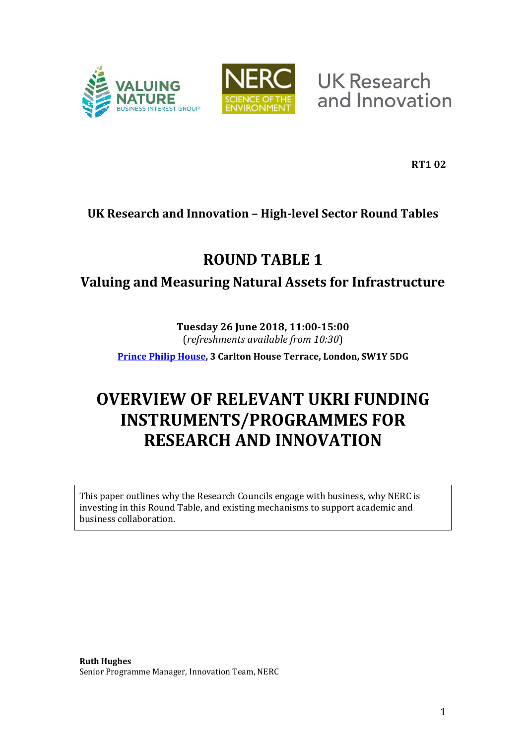



**UK Research** and Innovation

**RT1 02**

## **UK Research and Innovation – High-level Sector Round Tables**

# **ROUND TABLE 1**

## **Valuing and Measuring Natural Assets for Infrastructure**

## **Tuesday 26 June 2018, 11:00-15:00**  (*refreshments available from 10:30*)

**[Prince Philip House,](https://www.princephiliphouse.com/) 3 Carlton House Terrace, London, SW1Y 5DG** 

# **OVERVIEW OF RELEVANT UKRI FUNDING INSTRUMENTS/PROGRAMMES FOR RESEARCH AND INNOVATION**

This paper outlines why the Research Councils engage with business, why NERC is investing in this Round Table, and existing mechanisms to support academic and business collaboration.

**Ruth Hughes**  Senior Programme Manager, Innovation Team, NERC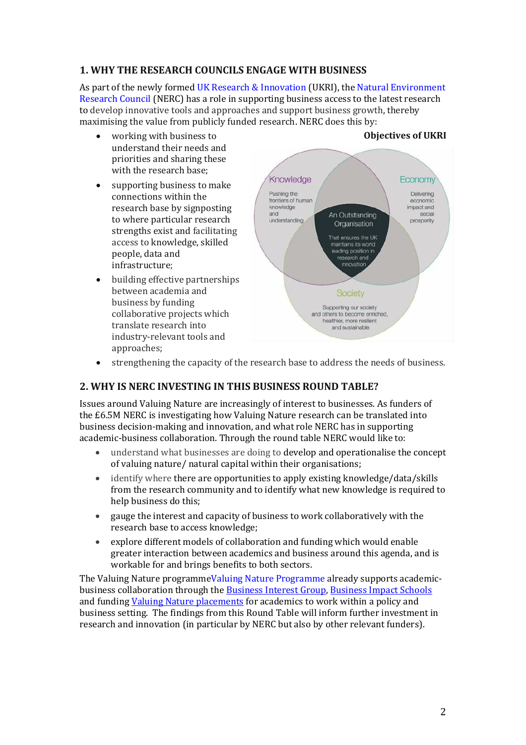## **1. WHY THE RESEARCH COUNCILS ENGAGE WITH BUSINESS**

As part of the newly formed [UK Research & Innovation](https://www.ukri.org/) (UKRI), the [Natural Environment](https://nerc.ukri.org/innovation)  [Research Council](https://nerc.ukri.org/innovation) (NERC) has a role in supporting business access to the latest research to develop innovative tools and approaches and support business growth, thereby maximising the value from publicly funded research. NERC does this by:

- working with business to understand their needs and priorities and sharing these with the research base;
- supporting business to make connections within the research base by signposting to where particular research strengths exist and facilitating access to knowledge, skilled people, data and infrastructure;
- building effective partnerships between academia and business by funding collaborative projects which translate research into industry-relevant tools and approaches;

#### Knowledge Economy Pushing the Delivering frontiers of human economic knowledge impact and and An Outstanding social understanding prosperity Organisation That ensures the UK maintains its world leading position in research and innovation **Society** Supporting our society and others to become enriched,<br>healthier, more resilient and sustainable

# strengthening the capacity of the research base to address the needs of business.

### **2. WHY IS NERC INVESTING IN THIS BUSINESS ROUND TABLE?**

Issues around Valuing Nature are increasingly of interest to businesses. As funders of the £6.5M NERC is investigating how Valuing Nature research can be translated into business decision-making and innovation, and what role NERC has in supporting academic-business collaboration. Through the round table NERC would like to:

- understand what businesses are doing to develop and operationalise the concept of valuing nature/ natural capital within their organisations;
- identify where there are opportunities to apply existing knowledge/data/skills from the research community and to identify what new knowledge is required to help business do this;
- gauge the interest and capacity of business to work collaboratively with the research base to access knowledge;
- explore different models of collaboration and funding which would enable greater interaction between academics and business around this agenda, and is workable for and brings benefits to both sectors.

The Valuing Nature programm[eValuing Nature Programme](http://valuing-nature.net/) already supports academicbusiness collaboration through the [Business Interest Group,](http://valuing-nature.net/business-interest-group) [Business Impact Schools](http://valuing-nature.net/valuing-nature-business-impact-schools) and fundin[g Valuing Nature placements](http://valuing-nature.net/valuing-nature-placements-round-3-november-2017-march-2018) for academics to work within a policy and business setting. The findings from this Round Table will inform further investment in research and innovation (in particular by NERC but also by other relevant funders).

### **Objectives of UKRI**